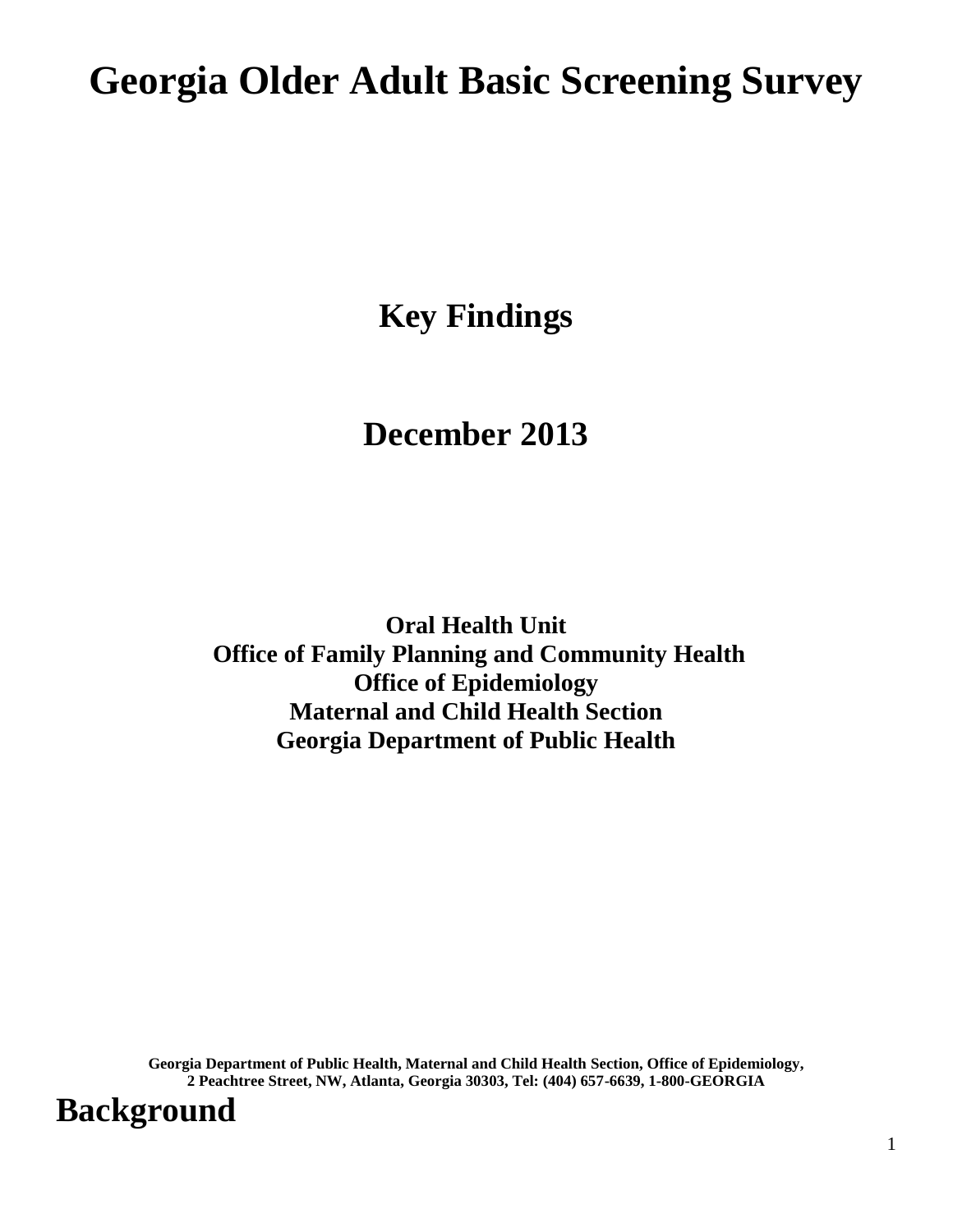# **Georgia Older Adult Basic Screening Survey**

**Key Findings**

### **December 2013**

**Oral Health Unit Office of Family Planning and Community Health Office of Epidemiology Maternal and Child Health Section Georgia Department of Public Health**

**Georgia Department of Public Health, Maternal and Child Health Section, Office of Epidemiology, 2 Peachtree Street, NW, Atlanta, Georgia 30303, Tel: (404) 657-6639, 1-800-GEORGIA**

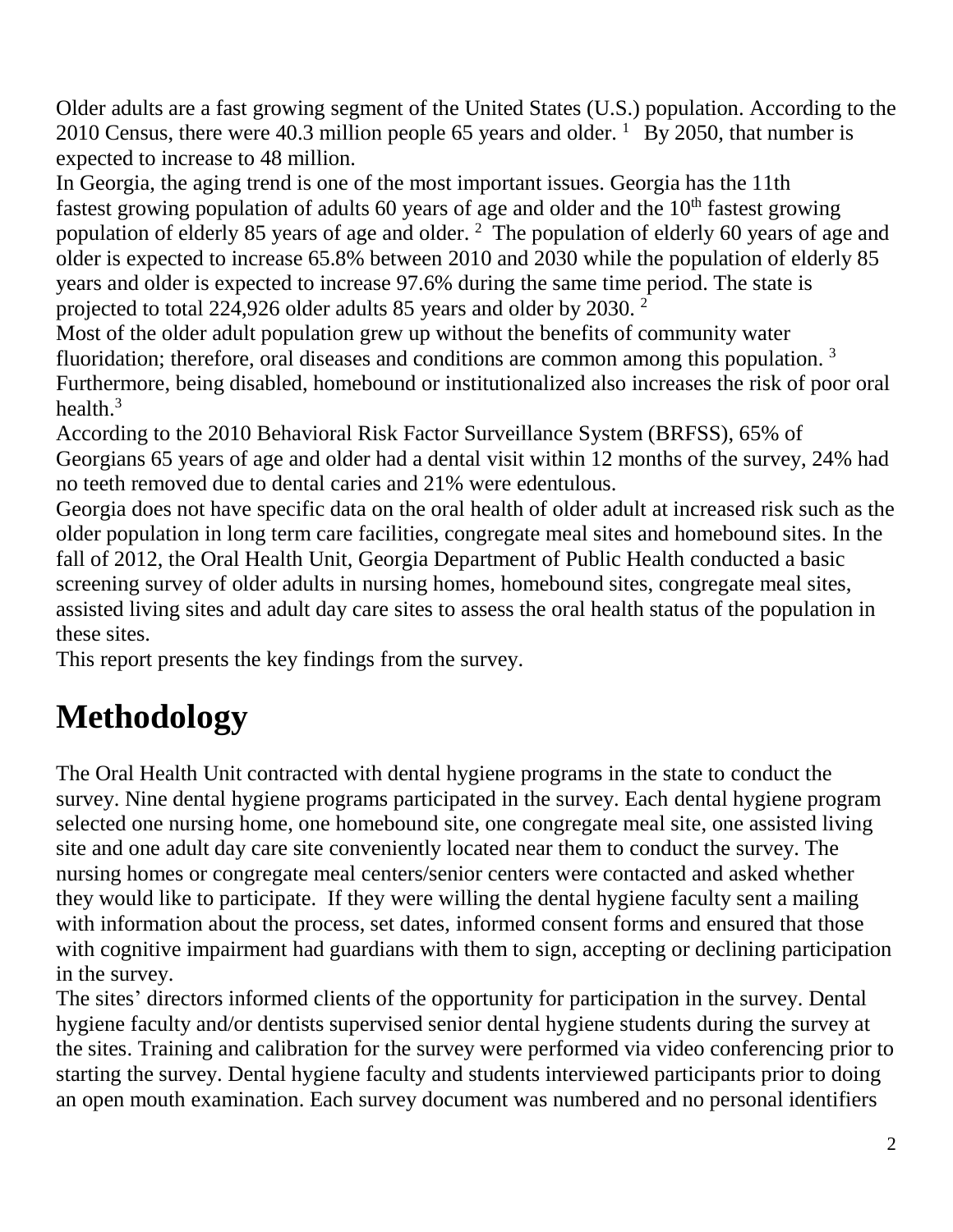Older adults are a fast growing segment of the United States (U.S.) population. According to the 2010 Census, there were 40.3 million people 65 years and older.  $1\overline{By}$  2050, that number is expected to increase to 48 million.

In Georgia, the aging trend is one of the most important issues. Georgia has the 11th fastest growing population of adults 60 years of age and older and the  $10<sup>th</sup>$  fastest growing population of elderly 85 years of age and older. <sup>2</sup> The population of elderly 60 years of age and older is expected to increase 65.8% between 2010 and 2030 while the population of elderly 85 years and older is expected to increase 97.6% during the same time period. The state is projected to total 224,926 older adults 85 years and older by 2030. <sup>2</sup>

Most of the older adult population grew up without the benefits of community water fluoridation; therefore, oral diseases and conditions are common among this population.<sup>3</sup> Furthermore, being disabled, homebound or institutionalized also increases the risk of poor oral health $^3$ 

According to the 2010 Behavioral Risk Factor Surveillance System (BRFSS), 65% of Georgians 65 years of age and older had a dental visit within 12 months of the survey, 24% had no teeth removed due to dental caries and 21% were edentulous.

Georgia does not have specific data on the oral health of older adult at increased risk such as the older population in long term care facilities, congregate meal sites and homebound sites. In the fall of 2012, the Oral Health Unit, Georgia Department of Public Health conducted a basic screening survey of older adults in nursing homes, homebound sites, congregate meal sites, assisted living sites and adult day care sites to assess the oral health status of the population in these sites.

This report presents the key findings from the survey.

# **Methodology**

The Oral Health Unit contracted with dental hygiene programs in the state to conduct the survey. Nine dental hygiene programs participated in the survey. Each dental hygiene program selected one nursing home, one homebound site, one congregate meal site, one assisted living site and one adult day care site conveniently located near them to conduct the survey. The nursing homes or congregate meal centers/senior centers were contacted and asked whether they would like to participate. If they were willing the dental hygiene faculty sent a mailing with information about the process, set dates, informed consent forms and ensured that those with cognitive impairment had guardians with them to sign, accepting or declining participation in the survey.

The sites' directors informed clients of the opportunity for participation in the survey. Dental hygiene faculty and/or dentists supervised senior dental hygiene students during the survey at the sites. Training and calibration for the survey were performed via video conferencing prior to starting the survey. Dental hygiene faculty and students interviewed participants prior to doing an open mouth examination. Each survey document was numbered and no personal identifiers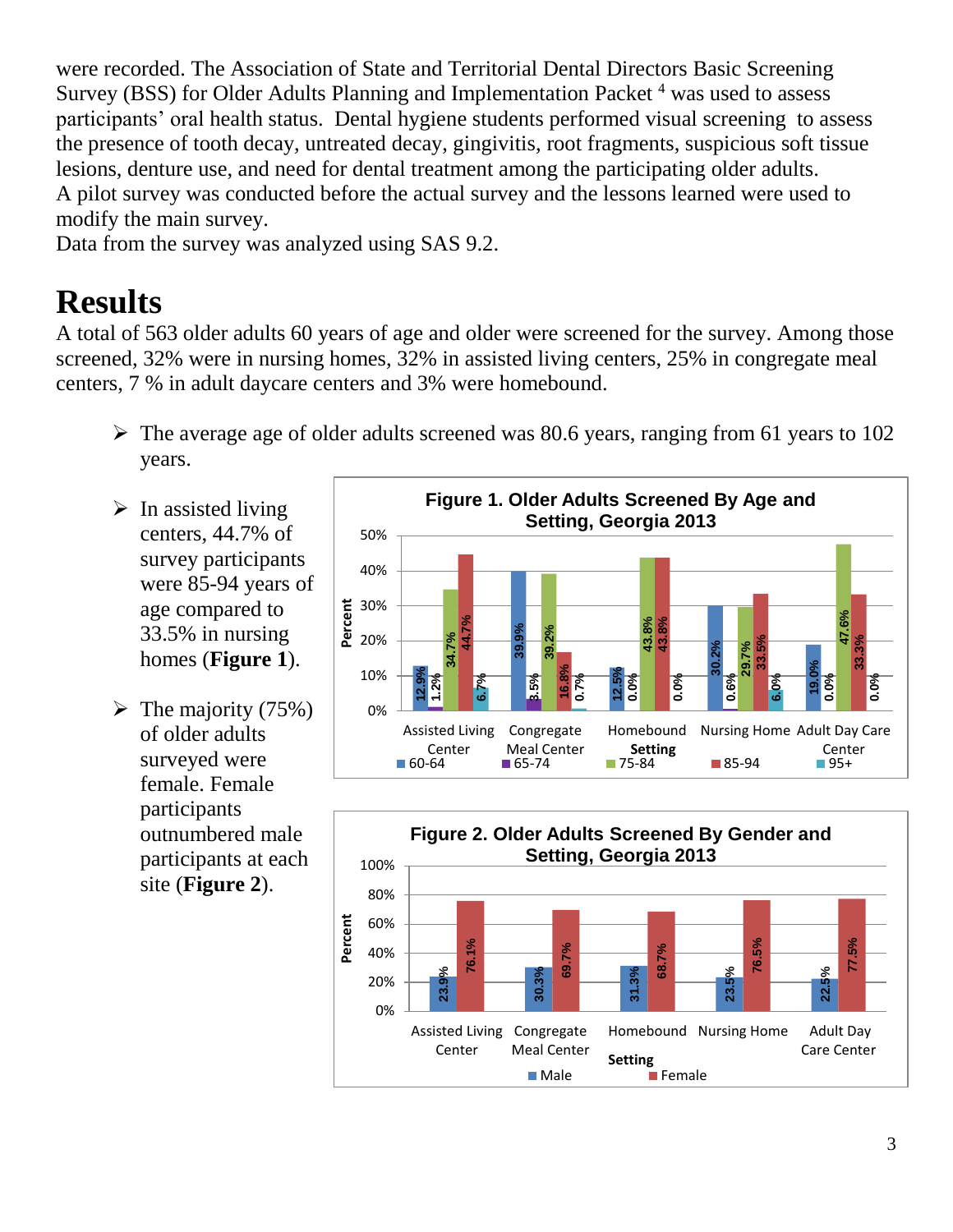were recorded. The Association of State and Territorial Dental Directors Basic Screening Survey (BSS) for Older Adults Planning and Implementation Packet  $4$  was used to assess participants' oral health status. Dental hygiene students performed visual screening to assess the presence of tooth decay, untreated decay, gingivitis, root fragments, suspicious soft tissue lesions, denture use, and need for dental treatment among the participating older adults. A pilot survey was conducted before the actual survey and the lessons learned were used to modify the main survey.

Data from the survey was analyzed using SAS 9.2.

# **Results**

A total of 563 older adults 60 years of age and older were screened for the survey. Among those screened, 32% were in nursing homes, 32% in assisted living centers, 25% in congregate meal centers, 7 % in adult daycare centers and 3% were homebound.

- $\triangleright$  The average age of older adults screened was 80.6 years, ranging from 61 years to 102 years.
- $\triangleright$  In assisted living centers, 44.7% of survey participants were 85-94 years of age compared to 33.5% in nursing homes (**Figure 1**).
- $\triangleright$  The majority (75%) of older adults surveyed were female. Female participants outnumbered male participants at each site (**Figure 2**).



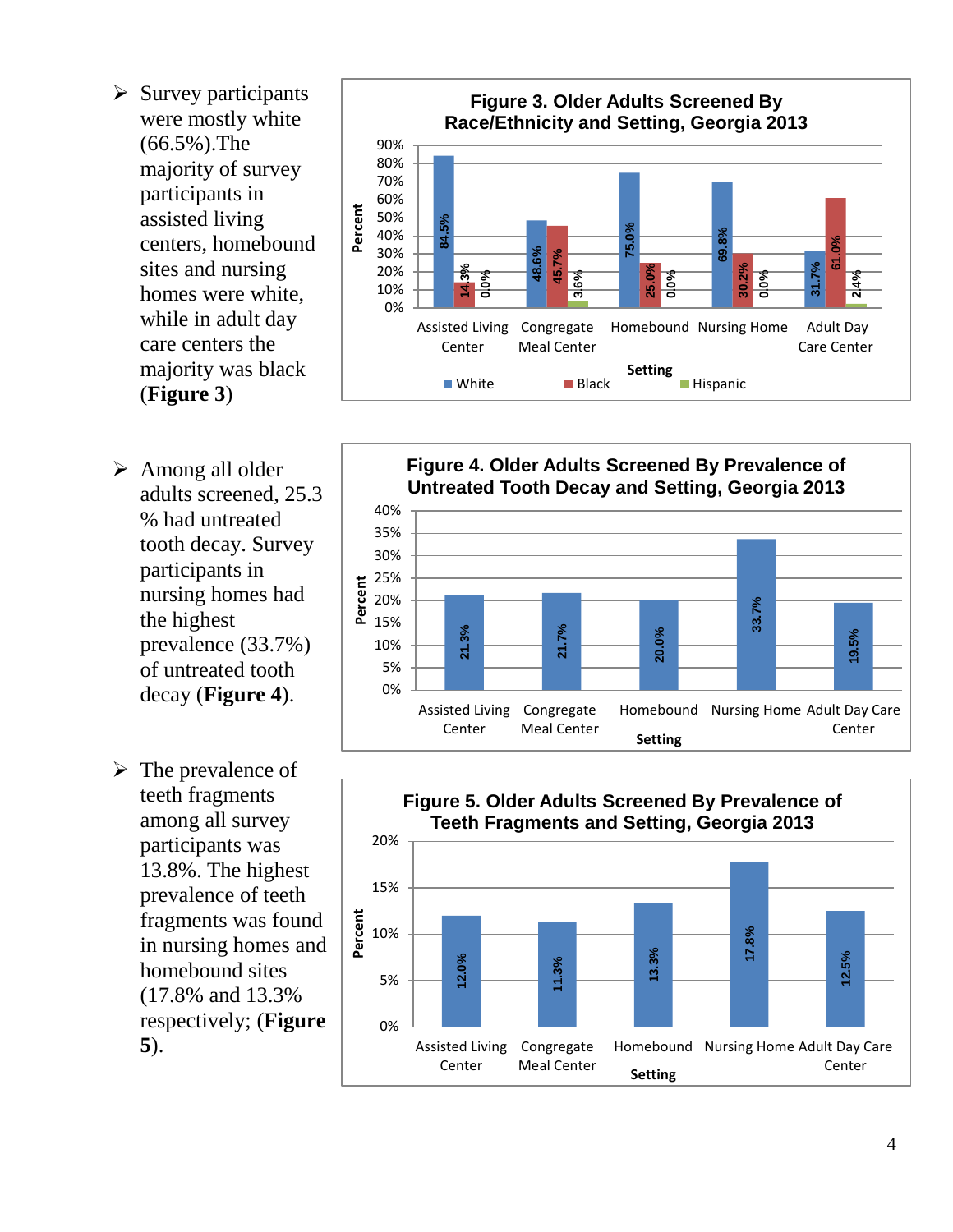- $\triangleright$  Survey participants were mostly white (66.5%).The majority of survey participants in assisted living centers, homebound sites and nursing homes were white, while in adult day care centers the majority was black (**Figure 3**)
- $\triangleright$  Among all older adults screened, 25.3 % had untreated tooth decay. Survey participants in nursing homes had the highest prevalence (33.7%) of untreated tooth decay (**Figure 4**).
- $\triangleright$  The prevalence of teeth fragments among all survey participants was 13.8%. The highest prevalence of teeth fragments was found in nursing homes and homebound sites (17.8% and 13.3% respectively; (**Figure 5**).





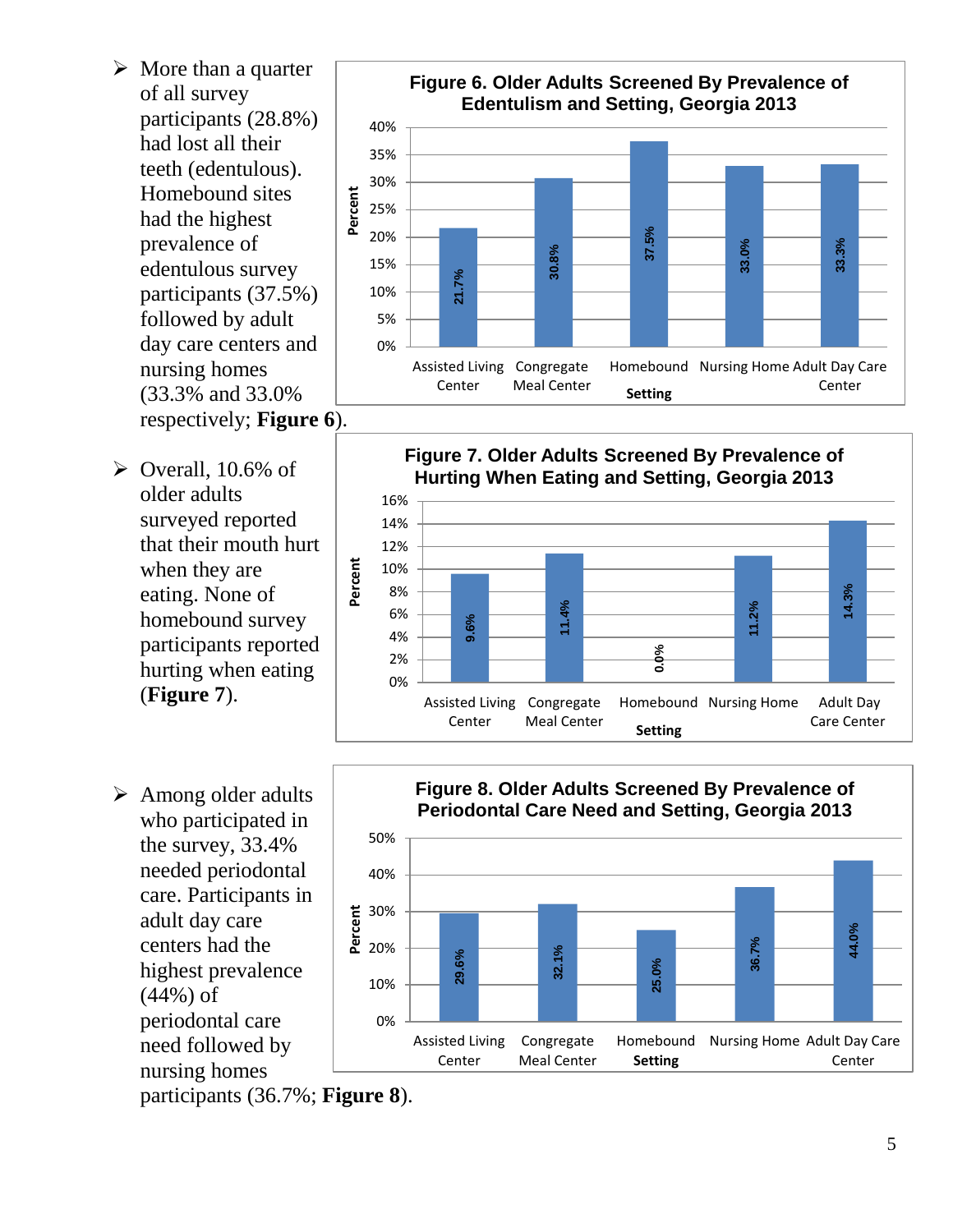- $\triangleright$  More than a quarter of all survey participants (28.8%) had lost all their teeth (edentulous). Homebound sites had the highest prevalence of edentulous survey participants (37.5%) followed by adult day care centers and nursing homes (33.3% and 33.0% respectively; **Figure 6**).
- $\triangleright$  Overall, 10.6% of older adults surveyed reported that their mouth hurt when they are eating. None of homebound survey participants reported hurting when eating (**Figure 7**).
- $\triangleright$  Among older adults who participated in the survey, 33.4% needed periodontal care. Participants in adult day care centers had the highest prevalence (44%) of periodontal care need followed by nursing homes







participants (36.7%; **Figure 8**).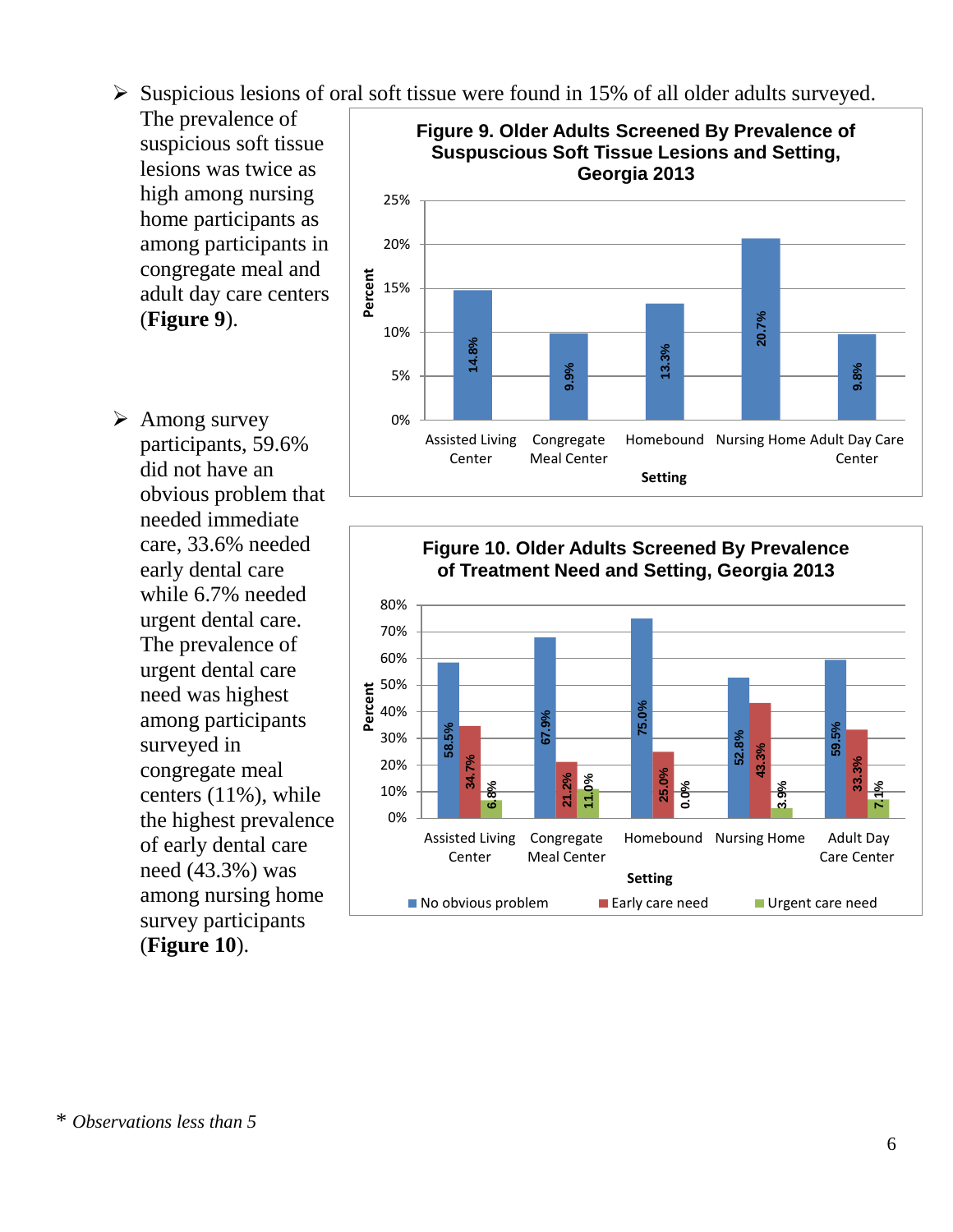$\triangleright$  Suspicious lesions of oral soft tissue were found in 15% of all older adults surveyed.

The prevalence of suspicious soft tissue lesions was twice as high among nursing home participants as among participants in congregate meal and adult day care centers (**Figure 9**).

 $\triangleright$  Among survey participants, 59.6% did not have an obvious problem that needed immediate care, 33.6% needed early dental care while 6.7% needed urgent dental care. The prevalence of urgent dental care need was highest among participants surveyed in congregate meal centers (11%), while the highest prevalence of early dental care need (43.3%) was among nursing home survey participants (**Figure 10**).



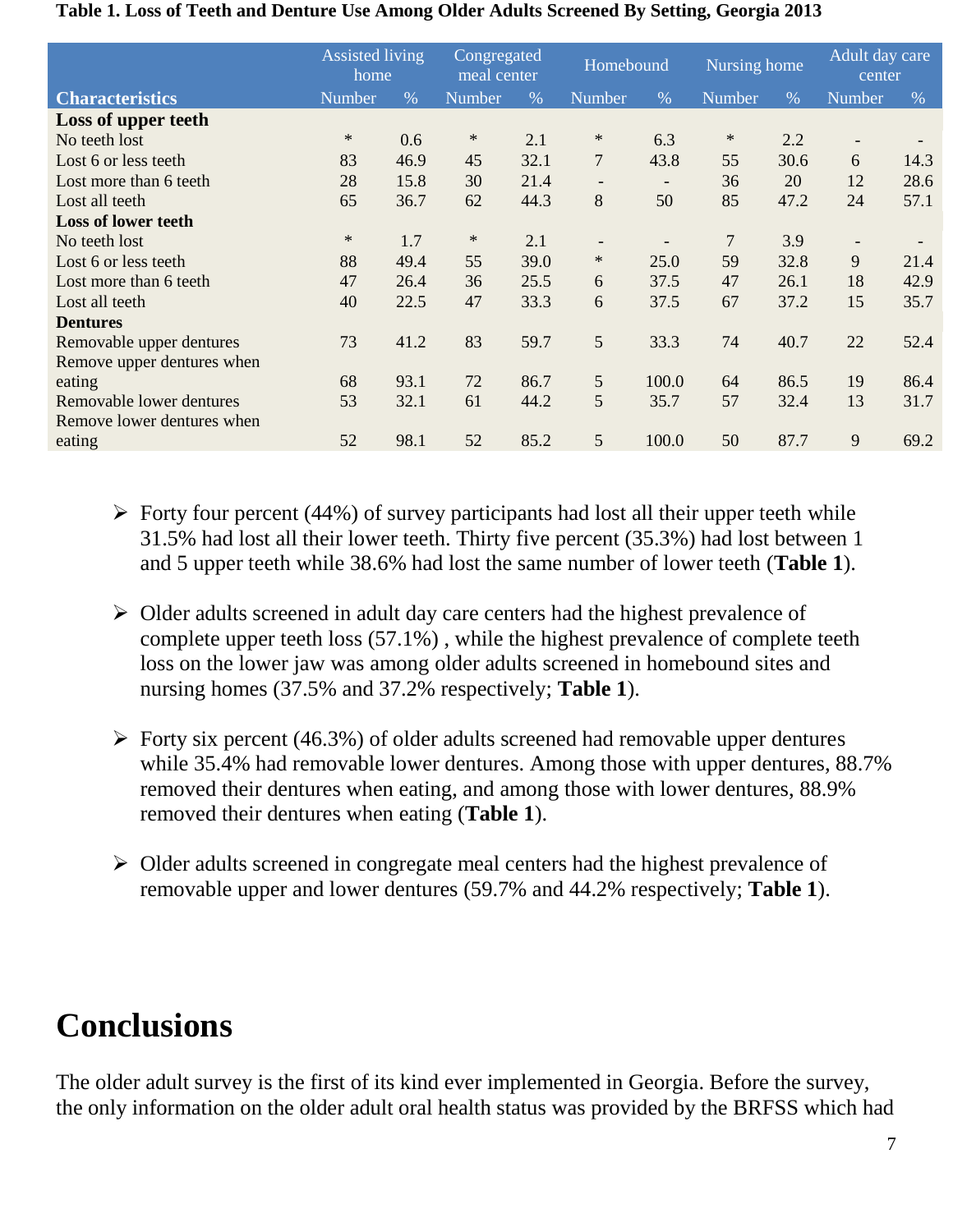|                            | <b>Assisted living</b><br>home |      | Congregated<br>meal center |      | Homebound                |                          | Nursing home  |      | Adult day care<br>center |      |
|----------------------------|--------------------------------|------|----------------------------|------|--------------------------|--------------------------|---------------|------|--------------------------|------|
| <b>Characteristics</b>     | <b>Number</b>                  | $\%$ | Number                     | $\%$ | <b>Number</b>            | $\%$                     | <b>Number</b> | $\%$ | Number                   | $\%$ |
| Loss of upper teeth        |                                |      |                            |      |                          |                          |               |      |                          |      |
| No teeth lost              | $\ast$                         | 0.6  | ∗                          | 2.1  | ∗                        | 6.3                      | ∗             | 2.2  | $\overline{\phantom{a}}$ |      |
| Lost 6 or less teeth       | 83                             | 46.9 | 45                         | 32.1 | $\overline{7}$           | 43.8                     | 55            | 30.6 | 6                        | 14.3 |
| Lost more than 6 teeth     | 28                             | 15.8 | 30                         | 21.4 | $\qquad \qquad -$        | $\overline{\phantom{a}}$ | 36            | 20   | 12                       | 28.6 |
| Lost all teeth             | 65                             | 36.7 | 62                         | 44.3 | 8                        | 50                       | 85            | 47.2 | 24                       | 57.1 |
| <b>Loss of lower teeth</b> |                                |      |                            |      |                          |                          |               |      |                          |      |
| No teeth lost              | $\ast$                         | 1.7  | ∗                          | 2.1  | $\overline{\phantom{a}}$ |                          | 7             | 3.9  | $\overline{\phantom{a}}$ |      |
| Lost 6 or less teeth       | 88                             | 49.4 | 55                         | 39.0 | $\ast$                   | 25.0                     | 59            | 32.8 | 9                        | 21.4 |
| Lost more than 6 teeth     | 47                             | 26.4 | 36                         | 25.5 | 6                        | 37.5                     | 47            | 26.1 | 18                       | 42.9 |
| Lost all teeth             | 40                             | 22.5 | 47                         | 33.3 | 6                        | 37.5                     | 67            | 37.2 | 15                       | 35.7 |
| <b>Dentures</b>            |                                |      |                            |      |                          |                          |               |      |                          |      |
| Removable upper dentures   | 73                             | 41.2 | 83                         | 59.7 | 5                        | 33.3                     | 74            | 40.7 | 22                       | 52.4 |
| Remove upper dentures when |                                |      |                            |      |                          |                          |               |      |                          |      |
| eating                     | 68                             | 93.1 | 72                         | 86.7 | 5                        | 100.0                    | 64            | 86.5 | 19                       | 86.4 |
| Removable lower dentures   | 53                             | 32.1 | 61                         | 44.2 | 5                        | 35.7                     | 57            | 32.4 | 13                       | 31.7 |
| Remove lower dentures when |                                |      |                            |      |                          |                          |               |      |                          |      |
| eating                     | 52                             | 98.1 | 52                         | 85.2 | $\mathfrak{S}$           | 100.0                    | 50            | 87.7 | 9                        | 69.2 |

#### **Table 1. Loss of Teeth and Denture Use Among Older Adults Screened By Setting, Georgia 2013**

- $\triangleright$  Forty four percent (44%) of survey participants had lost all their upper teeth while 31.5% had lost all their lower teeth. Thirty five percent (35.3%) had lost between 1 and 5 upper teeth while 38.6% had lost the same number of lower teeth (**Table 1**).
- $\triangleright$  Older adults screened in adult day care centers had the highest prevalence of complete upper teeth loss (57.1%) , while the highest prevalence of complete teeth loss on the lower jaw was among older adults screened in homebound sites and nursing homes (37.5% and 37.2% respectively; **Table 1**).
- $\triangleright$  Forty six percent (46.3%) of older adults screened had removable upper dentures while 35.4% had removable lower dentures. Among those with upper dentures, 88.7% removed their dentures when eating, and among those with lower dentures, 88.9% removed their dentures when eating (**Table 1**).
- $\triangleright$  Older adults screened in congregate meal centers had the highest prevalence of removable upper and lower dentures (59.7% and 44.2% respectively; **Table 1**).

## **Conclusions**

The older adult survey is the first of its kind ever implemented in Georgia. Before the survey, the only information on the older adult oral health status was provided by the BRFSS which had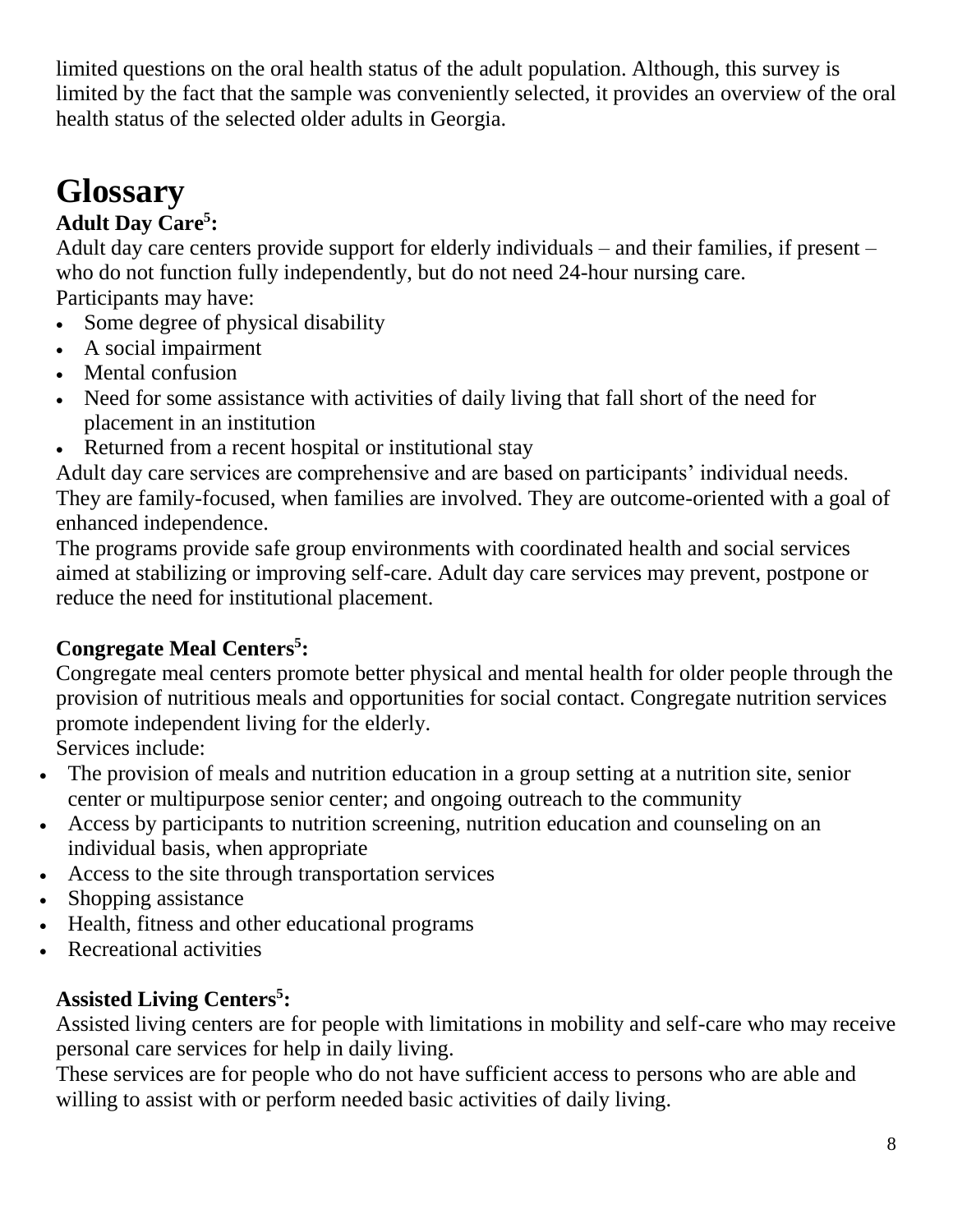limited questions on the oral health status of the adult population. Although, this survey is limited by the fact that the sample was conveniently selected, it provides an overview of the oral health status of the selected older adults in Georgia.

# **Glossary**

### **Adult Day Care<sup>5</sup> :**

Adult day care centers provide support for elderly individuals – and their families, if present – who do not function fully independently, but do not need 24-hour nursing care. Participants may have:

- Some degree of physical disability
- A social impairment
- Mental confusion
- Need for some assistance with activities of daily living that fall short of the need for placement in an institution
- Returned from a recent hospital or institutional stay

Adult day care services are comprehensive and are based on participants' individual needs. They are family-focused, when families are involved. They are outcome-oriented with a goal of enhanced independence.

The programs provide safe group environments with coordinated health and social services aimed at stabilizing or improving self-care. Adult day care services may prevent, postpone or reduce the need for institutional placement.

#### **Congregate Meal Centers<sup>5</sup> :**

Congregate meal centers promote better physical and mental health for older people through the provision of nutritious meals and opportunities for social contact. Congregate nutrition services promote independent living for the elderly.

Services include:

- The provision of meals and nutrition education in a group setting at a nutrition site, senior center or multipurpose senior center; and ongoing outreach to the community
- Access by participants to nutrition screening, nutrition education and counseling on an individual basis, when appropriate
- Access to the site through transportation services
- Shopping assistance
- Health, fitness and other educational programs
- Recreational activities

#### **Assisted Living Centers<sup>5</sup> :**

Assisted living centers are for people with limitations in mobility and self-care who may receive personal care services for help in daily living.

These services are for people who do not have sufficient access to persons who are able and willing to assist with or perform needed basic activities of daily living.